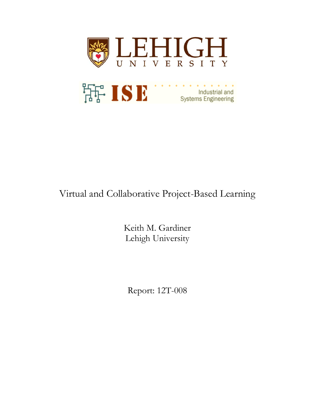

# Virtual and Collaborative Project-Based Learning

Keith M. Gardiner Lehigh University

Report: 12T-008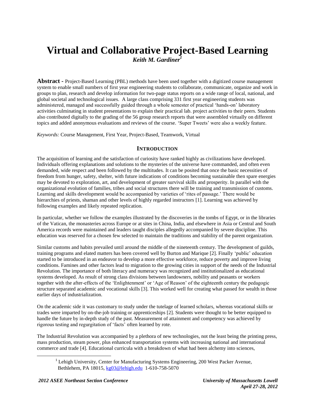# **Virtual and Collaborative Project-Based Learning** *Keith M. Gardiner<sup>1</sup>*

**Abstract -** Project-Based Learning (PBL) methods have been used together with a digitized course management system to enable small numbers of first year engineering students to collaborate, communicate, organize and work in groups to plan, research and develop information for two-page status reports on a wide range of local, national, and global societal and technological issues. A large class comprising 331 first year engineering students was administered, managed and successfully guided through a whole semester of practical 'hands-on' laboratory activities culminating in student presentations to explain their practical lab. project activities to their peers. Students also contributed digitally to the grading of the 56 group research reports that were assembled virtually on different topics and added anonymous evaluations and reviews of the course. 'Super Tweets' were also a weekly feature.

*Keywords:* Course Management, First Year, Project-Based, Teamwork, Virtual

#### **INTRODUCTION**

The acquisition of learning and the satisfaction of curiosity have ranked highly as civilizations have developed. Individuals offering explanations and solutions to the mysteries of the universe have commanded, and often even demanded, wide respect and been followed by the multitudes. It can be posited that once the basic necessities of freedom from hunger, safety, shelter, with future indications of conditions becoming sustainable then spare energies may be devoted to exploration, art, and development of greater survival skills and prosperity. In parallel with the organizational evolution of families, tribes and social structures there will be training and transmission of customs. Learning and skills development would be accompanied by varieties of 'rites of passage.' There would be hierarchies of priests, shaman and other levels of highly regarded instructors [1]. Learning was achieved by following examples and likely repeated replication.

In particular, whether we follow the examples illustrated by the discoveries in the tombs of Egypt, or in the libraries of the Vatican, the monasteries across Europe or at sites in China, India, and elsewhere in Asia or Central and South America records were maintained and leaders taught disciples allegedly accompanied by severe discipline. This education was reserved for a chosen few selected to maintain the traditions and stability of the parent organization.

Similar customs and habits prevailed until around the middle of the nineteenth century. The development of guilds, training programs and elated matters has been covered well by Burton and Marique [2]. Finally 'public' education started to be introduced in an endeavor to develop a more effective workforce, reduce poverty and improve living conditions. Famines and other factors lead to migration to the growing cities in support of the needs of the Industrial Revolution. The importance of both literacy and numeracy was recognized and institutionalized as educational systems developed. As result of strong class divisions between landowners, nobility and peasants or workers together with the after-effects of the 'Enlightenment' or 'Age of Reason' of the eighteenth century the pedagogic structure separated academic and vocational skills [3]. This worked well for creating what passed for wealth in those earlier days of industrialization.

On the academic side it was customary to study under the tutelage of learned scholars, whereas vocational skills or trades were imparted by on-the-job training or apprenticeships [2]. Students were thought to be better equipped to handle the future by in-depth study of the past. Measurement of attainment and competency was achieved by rigorous testing and regurgitation of 'facts' often learned by rote.

The Industrial Revolution was accompanied by a plethora of new technologies, not the least being the printing press, mass production, steam power, plus enhanced transportation systems with increasing national and international commerce and trade [4]. Educational curricula with a breakdown of what had been alchemy into sciences,

l

<sup>&</sup>lt;sup>1</sup> Lehigh University, Center for Manufacturing Systems Engineering, 200 West Packer Avenue, Bethlehem, PA 18015, [kg03@lehigh.edu](mailto:kg03@lehigh.edu) 1-610-758-5070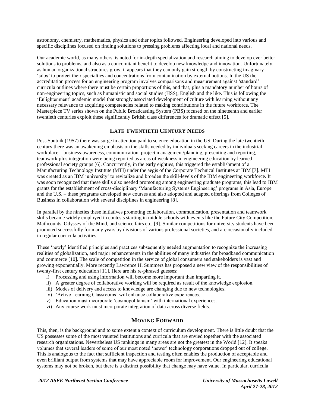astronomy, chemistry, mathematics, physics and other topics followed. Engineering developed into various and specific disciplines focused on finding solutions to pressing problems affecting local and national needs.

Our academic world, as many others, is noted for in-depth specialization and research aiming to develop ever better solutions to problems, and also as a concomitant benefit to develop new knowledge and innovation. Unfortunately, as human organizational structures grow, it appears that they can only gain strength by constructing imaginary 'silos' to protect their specialties and concentrations from contamination by external notions. In the US the accreditation process for an engineering program involves comparisons and measurement against 'standard' curricula outlines where there must be certain proportions of this, and that, plus a mandatory number of hours of non-engineering topics, such as humanistic and social studies (HSS), English and the like. This is following the 'Enlightenment' academic model that strongly associated development of culture with learning without any necessary relevance to acquiring competencies related to making contributions in the future workforce. The Masterpiece TV series shown on the Public Broadcasting System (PBS) focused on the nineteenth and earlier twentieth centuries exploit these significantly British class differences for dramatic effect [5].

## **LATE TWENTIETH CENTURY NEEDS**

Post-Sputnik (1957) there was surge in attention paid to science education in the US. During the late twentieth century there was an awakening emphasis on the skills needed by individuals seeking careers in the industrial workplace – business-awareness, communication, project management/planning, presenting and reporting, teamwork plus integration were being reported as areas of weakness in engineering education by learned professional society groups [6]. Concurrently, in the early eighties, this triggered the establishment of a Manufacturing Technology Institute (MTI) under the aegis of the Corporate Technical Institutes at IBM [7]. MTI was created as an IBM 'university' to revitalize and broaden the skill-levels of the IBM engineering workforce. It was soon recognized that these skills also needed promoting among engineering graduate programs, this lead to IBM grants for the establishment of cross-disciplinary 'Manufacturing Systems Engineering' programs in Asia, Europe and the U.S. – these programs developed new courses and also adopted and adapted offerings from Colleges of Business in collaboration with several disciplines in engineering [8].

In parallel by the nineties these initiatives promoting collaboration, communication, presentation and teamwork skills became widely employed in contests starting in middle schools with events like the Future City Competition, Mathcounts, Odyssey of the Mind, and science fairs etc. [9]. Similar competitions for university students have been promoted successfully for many years by divisions of various professional societies, and are occasionally included in regular curricula activities.

These 'newly' identified principles and practices subsequently needed augmentation to recognize the increasing realities of globalization, and major enhancements in the abilities of many industries for broadband communication and commerce [10]. The scale of competition in the service of global consumers and stakeholders is vast and growing exponentially. More recently Lawrence H. Summers has proposed a new view of the responsibilities of twenty-first century education [11]. Here are his re-phrased guesses:

- i) Processing and using information will become more important than imparting it.
- ii) A greater degree of collaborative working will be required as result of the knowledge explosion.
- iii) Modes of delivery and access to knowledge are changing due to new technologies.
- iv) 'Active Learning Classrooms' will enhance collaborative experiences.
- v) Education must incorporate 'cosmopolitanism' with international experiences.
- vi) Any course work must incorporate integration of data across diverse fields.

#### **MOVING FORWARD**

This, then, is the background and to some extent a context of curriculum development. There is little doubt that the US possesses some of the most vaunted institutions and curricula that are envied together with the associated research organizations. Nevertheless US rankings in many areas are not the greatest in the World [12]. It speaks volumes that several leaders of some of our most noted 'newer' technology corporations dropped out of college. This is analogous to the fact that sufficient inspection and testing often enables the production of acceptable and even brilliant output from systems that may have appreciable room for improvement. Our engineering educational systems may not be broken, but there is a distinct possibility that change may have value. In particular, curricula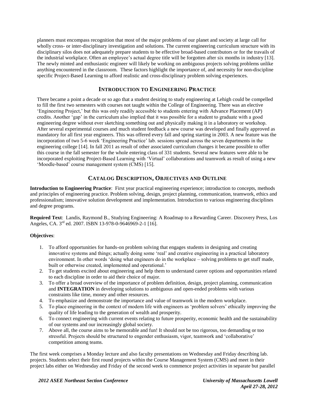planners must encompass recognition that most of the major problems of our planet and society at large call for wholly cross- or inter-disciplinary investigation and solutions. The current engineering curriculum structure with its disciplinary silos does not adequately prepare students to be effective broad-based contributors or for the travails of the industrial workplace. Often an employee's actual degree title will be forgotten after six months in industry [13]. The newly minted and enthusiastic engineer will likely be working on ambiguous projects solving problems unlike anything encountered in the classroom. These factors highlight the importance of, and necessity for non-discipline specific Project-Based Learning to afford realistic and cross-disciplinary problem solving experiences.

### **INTRODUCTION TO ENGINEERING PRACTICE**

There became a point a decade or so ago that a student desiring to study engineering at Lehigh could be compelled to fill the first two semesters with courses not taught within the College of Engineering. There was an elective 'Engineering Project,' but this was only readily accessible to students entering with Advance Placement (AP) credits. Another 'gap' in the curriculum also implied that it was possible for a student to graduate with a good engineering degree without ever sketching something out and physically making it in a laboratory or workshop. After several experimental courses and much student feedback a new course was developed and finally approved as mandatory for all first year engineers. This was offered every fall and spring starting in 2003. A new feature was the incorporation of two 5-6 week 'Engineering Practice' lab. sessions spread across the seven departments in the engineering college [14]. In fall 2011 as result of other associated curriculum changes it became possible to offer this course in the fall semester for the whole entering class of 331 students. Several new features were able to be incorporated exploiting Project-Based Learning with 'Virtual' collaborations and teamwork as result of using a new 'Moodle-based' course management system (CMS) [15].

# **CATALOG DESCRIPTION, OBJECTIVES AND OUTLINE**

**Introduction to Engineering Practice**: First year practical engineering experience; introduction to concepts, methods and principles of engineering practice. Problem solving, design, project planning, communication, teamwork, ethics and professionalism; innovative solution development and implementation. Introduction to various engineering disciplines and degree programs.

**Required Text**: Landis, Raymond B., Studying Engineering: A Roadmap to a Rewarding Career. Discovery Press, Los Angeles, CA. 3<sup>rd</sup> ed. 2007. ISBN 13-978-0-9646969-2-1 [16].

#### **Objectives**:

- 1. To afford opportunities for hands-on problem solving that engages students in designing and creating innovative systems and things; actually doing some 'real' and creative engineering in a practical laboratory environment. In other words 'doing what engineers do in the workplace – solving problems to get stuff made, built or otherwise created, implemented and operational.'
- 2. To get students excited about engineering and help them to understand career options and opportunities related to each discipline in order to aid their choice of major.
- 3. To offer a broad overview of the importance of problem definition, design, project planning, communication and **INTEGRATION** in developing solutions to ambiguous and open-ended problems with various constraints like time, money and other resources.
- 4. To emphasize and demonstrate the importance and value of teamwork in the modern workplace.
- 5. To place engineering in the context of modern life with engineers as 'problem solvers' ethically improving the quality of life leading to the generation of wealth and prosperity.
- 6. To connect engineering with current events relating to future prosperity, economic health and the sustainability of our systems and our increasingly global society.
- 7. Above all, the course aims to be memorable and fun! It should not be too rigorous, too demanding or too stressful. Projects should be structured to engender enthusiasm, vigor, teamwork and 'collaborative' competition among teams.

The first week comprises a Monday lecture and also faculty presentations on Wednesday and Friday describing lab. projects. Students select their first round projects within the Course Management System (CMS) and meet in their project labs either on Wednesday and Friday of the second week to commence project activities in separate but parallel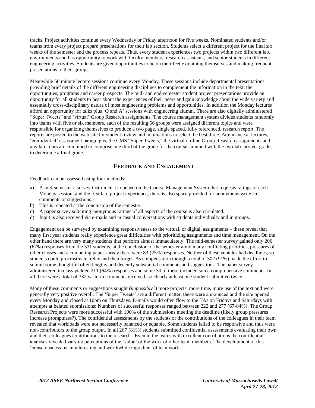tracks. Project activities continue every Wednesday or Friday afternoon for five weeks. Nominated students and/or teams from every project prepare presentations for their lab section. Students select a different project for the final six weeks of the semester and the process repeats. Thus, every student experiences two projects within two different lab. environments and has opportunity to work with faculty members, research assistants, and senior students in different engineering activities. Students are given opportunities to be on their feet explaining themselves and making frequent presentations to their groups.

Meanwhile 50 minute lecture sessions continue every Monday. These sessions include departmental presentations providing brief details of the different engineering disciplines to complement the information in the text, the opportunities, programs and career prospects. The mid- and end-semester student project presentations provide an opportunity for all students to hear about the experiences of their peers and gain knowledge about the wide variety and essentially cross-disciplinary nature of most engineering problems and opportunities. In addition the Monday lectures afford an opportunity for talks plus 'Q and A' sessions with engineering alumni. There are also digitally administered "Super Tweets" and 'virtual' Group Research assignments. The course management system divides students randomly into teams with five or six members, each of the resulting 56 groups were assigned different topics and were responsible for organizing themselves to produce a two page, single spaced, fully referenced, research report. The reports are posted to the web site for student review and nominations to select the best three. Attendance at lectures, 'confidential' assessment paragraphs, the CMS "Super Tweets," the virtual on-line Group Research assignments and any lab. tours are combined to comprise one third of the grade for the course summed with the two lab. project grades to determine a final grade.

#### **FEEDBACK AND ENGAGEMENT**

Feedback can be assessed using four methods;

- a) A mid-semester a survey instrument is opened on the Course Management System that requests ratings of each Monday session, and the first lab. project experience; there is also space provided for anonymous write-in comments or suggestions.
- b) This is repeated at the conclusion of the semester.
- c) A paper survey soliciting anonymous ratings of all aspects of the course is also circulated.
- d) Input is also received via e-mails and in casual conversations with students individually and in groups.

Engagement can be surveyed by examining responsiveness to the virtual, or digital, assignments – these reveal that many first year students really experience great difficulties with prioritizing assignments and time management. On the other hand there are very many students that perform almost immaculately. The mid-semester survey gained only 206 (62%) responses from the 331 students, at the conclusion of the semester amid many conflicting priorities, pressures of other classes and a competing paper survey there were 83 (25%) responses. Neither of these vehicles had deadlines, so students could procrastinate, relax and then forget. As compensation though a total of 302 (91%) made the effort to submit some thoughtful often lengthy and decently substantial comments and suggestions. The paper survey administered in class yielded 211 (64%) responses and some 30 of these included some comprehensive comments. In all there were a total of 332 write-in comments received, so clearly at least one student submitted twice!

Many of these comments or suggestions sought (*impossibly?*) more projects, more time, more use of the text and were generally very positive overall. The 'Super Tweets' are a different matter, these were announced and the site opened every Monday and closed at 10pm on Thursdays. E-mails would often flow to the TAs on Fridays and Saturdays with attempts at belated submissions: Numbers of successful responses ranged between 222 and 277 (67-84%). The Group Research Projects were more successful with 100% of the submissions meeting the deadline (likely group pressures increase promptness?). The confidential assessments by the students of the contributions of the colleagues in their team revealed that workloads were not necessarily balanced or equable. Some students failed to be responsive and thus were non-contributors to the group output. In all 267 (81%) students submitted confidential assessments evaluating their own and their colleagues contributions to the research. Even in the teams with excellent contributions the confidential analyses revealed varying perceptions of the 'value' of the work of other team members. The development of this 'consciousness' is an interesting and worthwhile ingredient of teamwork.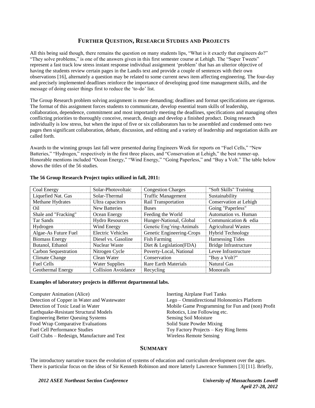# **FURTHER QUESTION, RESEARCH STUDIES AND PROJECTS**

All this being said though, there remains the question on many students lips, "What is it exactly that engineers do?" "They solve problems," is one of the answers given in this first semester course at Lehigh. The "Super Tweets" represent a fast track low stress instant response individual assignment 'problem' that has an ulterior objective of having the students review certain pages in the Landis text and provide a couple of sentences with their own observations [16], alternately a question may be related to some current news item affecting engineering. The four-day and precisely implemented deadlines reinforce the importance of developing good time management skills, and the message of doing easier things first to reduce the 'to-do' list.

The Group Research problem solving assignment is more demanding; deadlines and format specifications are rigorous. The format of this assignment forces students to communicate, develop essential team skills of leadership, collaboration, dependence, commitment and most importantly meeting the deadlines, specifications and managing often conflicting priorities to thoroughly conceive, research, design and develop a finished product. Doing research individually is low stress, but when the input of five or six collaborators has to be assembled and condensed onto two pages then significant collaboration, debate, discussion, and editing and a variety of leadership and negotiation skills are called forth.

Awards to the winning groups last fall were presented during Engineers Week for reports on "Fuel Cells," "New Batteries," "Hydrogen," respectively in the first three places, and "Conservation at Lehigh," the best runner-up. Honorable mentions included "Ocean Energy," "Wind Energy," "Going Paperless," and "Buy a Volt." The table below shows the titles of the 56 studies.

| Coal Energy                 | Solar-Photovoltaic         | <b>Congestion Charges</b>   | "Soft Skills" Training     |
|-----------------------------|----------------------------|-----------------------------|----------------------------|
| Liquefied Nat. Gas          | Solar-Thermal              | <b>Traffic Management</b>   | Sustainability             |
| Methane Hydrates            | Ultra capacitors           | Rail Transportation         | Conservation at Lehigh     |
| Oil                         | <b>New Batteries</b>       | <b>Buses</b>                | Going "Paperless"          |
| Shale and "Fracking"        | Ocean Energy               | Feeding the World           | Automation vs. Human       |
| Tar Sands                   | <b>Hydro Resources</b>     | Hunger-National, Global     | Communication & edia       |
| Hydrogen                    | Wind Energy                | Genetic Eng'ring-Animals    | <b>Agricultural Wastes</b> |
| Algae-As Future Fuel        | <b>Electric Vehicles</b>   | Genetic Engineering-Crops   | <b>Hybrid Technology</b>   |
| <b>Biomass Energy</b>       | Diesel vs. Gasoline        | <b>Fish Farming</b>         | <b>Harnessing Tides</b>    |
| Butanol, Ethanol            | Nuclear Waste              | Diet & Legislation(FDA)     | Bridge Infrastructure      |
| <b>Carbon Sequestration</b> | Nitrogen Cycle             | Poverty-Local, National     | Levee Infrastructure       |
| Climate Change              | Clean Water                | Conservation                | "Buy a Volt?"              |
| <b>Fuel Cells</b>           | <b>Water Supplies</b>      | <b>Rare Earth Materials</b> | Natural Gas                |
| <b>Geothermal Energy</b>    | <b>Collision Avoidance</b> | Recycling                   | Monorails                  |

#### **The 56 Group Research Project topics utilized in fall, 2011:**

#### **Examples of laboratory projects in different departmental labs.**

Computer Animation (Alice) Inerting Airplane Fuel Tanks Detection of Copper in Water and Wastewater Lego – Omnidirectional Holonomics Platform Earthquake-Resistant Structural Models Robotics, Line Following etc. Engineering Better Queuing Systems Sensing Soil Moisture Food Wrap Comparative Evaluations The Solid State Powder Mixing Fuel Cell Performance Studies Toy Factory Projects – Key Ring Items Golf Clubs – Redesign, Manufacture and Test Wireless Remote Sensing

Detection of Toxic Lead in Water Mobile Game Programming for Fun and (non) Profit

#### **SUMMARY**

The introductory narrative traces the evolution of systems of education and curriculum development over the ages. There is particular focus on the ideas of Sir Kenneth Robinson and more latterly Lawrence Summers [3] [11]. Briefly,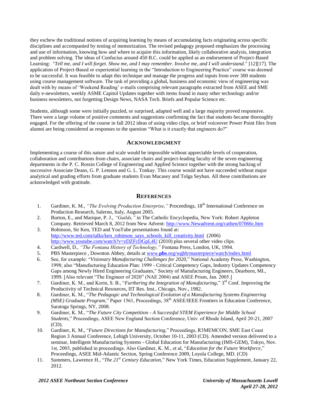they eschew the traditional notions of acquiring learning by means of accumulating facts originating across specific disciplines and accompanied by testing of memorization. The revised pedagogy proposed emphasizes the processing and use of information, knowing how and where to acquire this information, likely collaborative analysis, integration and problem solving. The ideas of Confucius around 450 B.C. could be applied as an endorsement of Project-Based Learning: *"Tell me, and I will forget. Show me, and I may remember. Involve me, and I will understand."* [12][17]. The application of Project-Based or experiential learning in the "Introduction to Engineering Practice" course was deemed to be successful. It was feasible to adapt this technique and manage the progress and inputs from over 300 students using course management software. The task of providing a global, business and economic view of engineering was dealt with by means of 'Weekend Reading' e-mails comprising relevant paragraphs extracted from ASEE and SME daily e-newsletters, weekly ASME Capitol Updates together with items found in many other technology and/or business newsletters, not forgetting Design News, NASA Tech. Briefs and Popular Science etc.

Students, although some were initially puzzled, or surprised, adapted well and a large majority proved responsive. There were a large volume of positive comments and suggestions confirming the fact that students became thoroughly engaged. For the offering of the course in fall 2012 ideas of using video clips, or brief voiceover Power Point files from alumni are being considered as responses to the question "What is it exactly that engineers do?"

#### **ACKNOWLEDGMENT**

Implementing a course of this nature and scale would be impossible without appreciable levels of cooperation, collaboration and contributions from chairs, associate chairs and project-leading faculty of the seven engineering departments in the P. C. Rossin College of Engineering and Applied Science together with the strong backing of successive Associate Deans, G. P. Lennon and G. L. Tonkay. This course would not have succeeded without major analytical and grading efforts from graduate students Evan Mucasey and Tolga Seyhan. All these contributions are acknowledged with gratitude.

#### **REFERENCES**

- 1. Gardiner, K. M., *"The Evolving Production Enterprise*," Proceedings, 18<sup>th</sup> International Conference on Production Research, Salerno, Italy, August 2005.
- 2. Burton, E., and Marique, P. J., *"Guilds,"* in The Catholic Encyclopedia, New York: Robert Appleton Company. Retrieved March 8, 2012 from New Advent: [http://www.Newadvent.org/cathen/07066c.htm](http://www.newadvent.org/cathen/07066c.htm)
- 3. Robinson, Sir Ken, TED and YouTube presentations found at: [http://www.ted.com/talks/ken\\_robinson\\_says\\_schools\\_kill\\_creativity.html](http://www.ted.com/talks/ken_robinson_says_schools_kill_creativity.html) (2006) <http://www.youtube.com/watch?v=zDZFcDGpL4U> (2010) plus several other video clips.
- 4. Cardwell, D., *"The Fontana History of Technology,"* Fontana Press, London, UK, 1994.
- 5. PBS Masterpiece , Downton Abbey, details at www.**pbs**[.org/wgbh/masterpiece/watch/index.html](http://www.pbs.org/wgbh/masterpiece/watch/index.html)
- 6. See, for example: "*Visionary Manufacturing Challenges for 2020,*" National Academy Press, Washington, 1998; also "Manufacturing Education Plan: 1999 - Critical Competency Gaps, Industry Updates Competency Gaps among Newly Hired Engineering Graduates," Society of Manufacturing Engineers, Dearborn, MI., 1999. [Also relevant "The Engineer of 2020" (NAE 2004) and ASEE Prism, Jan. 2005.]
- 7. Gardiner, K. M., and Korin, S. B., "*Furthering the Integration of Manufacturing*," 3<sup>rd</sup> Conf. Improving the Productivity of Technical Resources, IIT Res. Inst., Chicago, Nov., 1982.
- 8. Gardiner, K. M., "*The Pedagogic and Technological Evolution of a Manufacturing Systems Engineering (MSE) Graduate Program*," Paper 1561, Proceedings, 38<sup>th</sup> ASEE/IEEE Frontiers in Education Conference, Saratoga Springs, NY, 2008.
- 9. Gardiner, K. M., "*The Future City Competition - A Successful STEM Experience for Middle School Students,*" Proceedings, ASEE New England Section Conference, Univ. of Rhode Island, April 20-21, 2007 (CD).
- 10. Gardiner, K. M., "*Future Directions for Manufacturing,*" Proceedings, R3MEMCON, SME East Coast Region 3 Annual Conference, Lehigh University, October 10-11, 2003 (CD). Amended version delivered to a seminar, Intelligent Manufacturing Systems - Global Education for Manufacturing (IMS-GEM), Tokyo, Nov. 1st, 2003, published in proceedings. Also Gardiner, K. M., et al, "*Education for the Future Workforce,*" Proceedings, ASEE Mid-Atlantic Section, Spring Conference 2009, Loyola College, MD. (CD)
- 11. Summers, Lawrence H., "*The 21st Century Education,*" New York Times, Education Supplement, January 22, 2012.